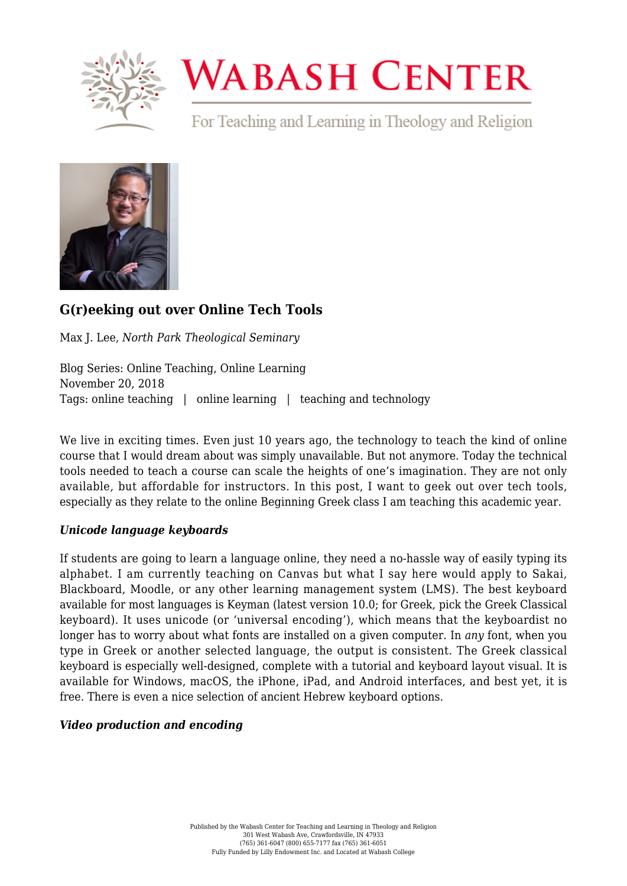

# **WABASH CENTER**

For Teaching and Learning in Theology and Religion



# **[G\(r\)eeking out over Online Tech Tools](https://www.wabashcenter.wabash.edu/2018/11/greeking-out-over-online-tech-tools/)**

Max J. Lee, *North Park Theological Seminary*

Blog Series: Online Teaching, Online Learning November 20, 2018 Tags: online teaching | online learning | teaching and technology

We live in exciting times. Even just 10 years ago, the technology to teach the kind of online course that I would dream about was simply unavailable. But not anymore. Today the technical tools needed to teach a course can scale the heights of one's imagination. They are not only available, but affordable for instructors. In this post, I want to geek out over tech tools, especially as they relate to the online Beginning Greek class I am teaching this academic year.

## *Unicode language keyboards*

If students are going to learn a language online, they need a no-hassle way of easily typing its alphabet. I am currently teaching on Canvas but what I say here would apply to Sakai, Blackboard, Moodle, or any other learning management system (LMS). The best keyboard available for most languages is [Keyman](https://keyman.com/) (latest version 10.0; for Greek, pick the [Greek Classical](https://keyman.com/keyboards/greekclassical) [keyboard](https://keyman.com/keyboards/greekclassical)). It uses unicode (or 'universal encoding'), which means that the keyboardist no longer has to worry about what fonts are installed on a given computer. In *any* font, when you type in Greek or another selected language, the output is consistent. The Greek classical keyboard is especially well-designed, complete with a tutorial and [keyboard layout](https://help.keyman.com/keyboard/greekclassical/1.1/greekclassical.php#osk) visual. It is available for Windows, macOS, the iPhone, iPad, and Android interfaces, and best yet, it is free. There is even a nice selection of ancient [Hebrew keyboard](https://keyman.com/keyboards/languages/hbo) options.

## *Video production and encoding*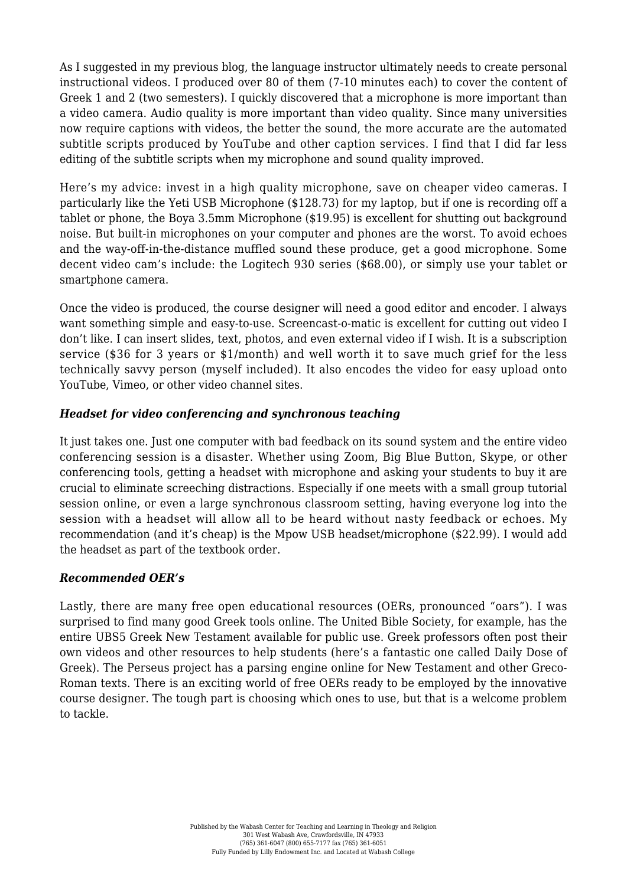As I suggested in my previous [blog, t](https://www.wabashcenter.wabash.edu/2018/10/how-learning-greek-online-can-be-more-successful-than-face-to-face-instruction/)he language instructor ultimately needs to create personal instructional videos. I produced over 80 of them (7-10 minutes each) to cover the content of Greek 1 and 2 (two semesters). I quickly discovered that a microphone is more important than a video camera. Audio quality is more important than video quality. Since many universities now require captions with videos, the better the sound, the more accurate are the automated subtitle scripts produced by [YouTube a](https://www.youtube.com/watch?v=XJGiS83eQLk)nd other caption services. I find that I did far less editing of the subtitle scripts when my microphone and sound quality improved.

Here's my advice: invest in a high quality microphone, save on cheaper video cameras. I particularly like the [Yeti](https://www.amazon.com/Blue-Yeti-USB-Microphone-Silver/dp/B002VA464S) USB Microphone (\$128.73) for my laptop, but if one is recording off a tablet or phone, the [Boya](https://www.amazon.com/gp/product/B00MP566OM/ref=oh_aui_search_detailpage?ie=UTF8&psc=1) 3.5mm Microphone (\$19.95) is excellent for shutting out background noise. But built-in microphones on your computer and phones are the worst. To avoid echoes and the way-off-in-the-distance muffled sound these produce, get a good microphone. Some decent video cam's include: the [Logitech 930](https://www.amazon.com/gp/product/B00CRJWW2G/ref=oh_aui_detailpage_o03_s00?ie=UTF8&psc=1) series (\$68.00), or simply use your tablet or smartphone camera.

Once the video is produced, the course designer will need a good editor and encoder. I always want something simple and easy-to-use. [Screencast-o-matic](https://screencast-o-matic.com/features) is excellent for cutting out video I don't like. I can insert slides, text, photos, and even external video if I wish. It is a [subscription](https://screencast-o-matic.com/subscribe?plan=pr1) [service](https://screencast-o-matic.com/subscribe?plan=pr1) (\$36 for 3 years or \$1/month) and well worth it to save much grief for the less technically savvy person (myself included). It also encodes the video for easy upload onto YouTube, Vimeo, or other video channel sites.

#### *Headset for video conferencing and synchronous teaching*

It just takes one. Just one computer with bad feedback on its sound system and the entire video conferencing session is a disaster. Whether using [Zoom](https://zoom.us/), [Big Blue Button,](https://bigbluebutton.org/) [Skype,](https://www.skype.com/en/) or other conferencing tools, getting a headset with microphone and asking your students to buy it are crucial to eliminate screeching distractions. Especially if one meets with a small group tutorial session online, or even a large synchronous classroom setting, having everyone log into the session with a headset will allow all to be heard without nasty feedback or echoes. My recommendation (and it's cheap) is the [Mpow USB headset/microphone](https://www.amazon.com/Mpow-Microphone-Cancelling-Lightweight-Headphones/dp/B074Z3FXBQ/ref=pd_sbs_147_3?_encoding=UTF8&pd_rd_i=B074Z3FXBQ&pd_rd_r=d993ff43-e4f7-11e8-a386-658ad9d28ece&pd_rd_w=QnJNI&pd_rd_wg=YS3Vw&pf_rd_i=desktop-dp-sims&pf_rd_m=ATVPDKIKX0DER&pf_rd_p=7d5d9c3c-5e01-44ac-97fd-261afd40b865&pf_rd_r=Q73DDT7P5PH95EPZCQE8&pf_rd_s=desktop-dp-sims&pf_rd_t=40701&psc=1&refRID=Q73DDT7P5PH95EPZCQE8) (\$22.99). I would add the headset as part of the textbook order.

#### *Recommended OER's*

Lastly, there are many free open educational resources (OERs, pronounced "oars"). I was surprised to find many good Greek tools online. The United Bible Society, for example, has the entire [UBS5 Greek New Testament](https://www.academic-bible.com/en/online-bibles/greek-new-testament-ubs5/read-the-bible-text/) available for public use. Greek professors often post their own videos and other resources to help students (here's a fantastic one called [Daily Dose of](https://dailydoseofgreek.com/new-testament-greek-resources/) [Greek](https://dailydoseofgreek.com/new-testament-greek-resources/)). The Perseus project has a [parsing engine](http://www.perseus.tufts.edu/hopper/morph?redirect=true) online for New Testament and other Greco-Roman texts. There is an exciting world of free OERs ready to be employed by the innovative course designer. The tough part is choosing which ones to use, but that is a welcome problem to tackle.